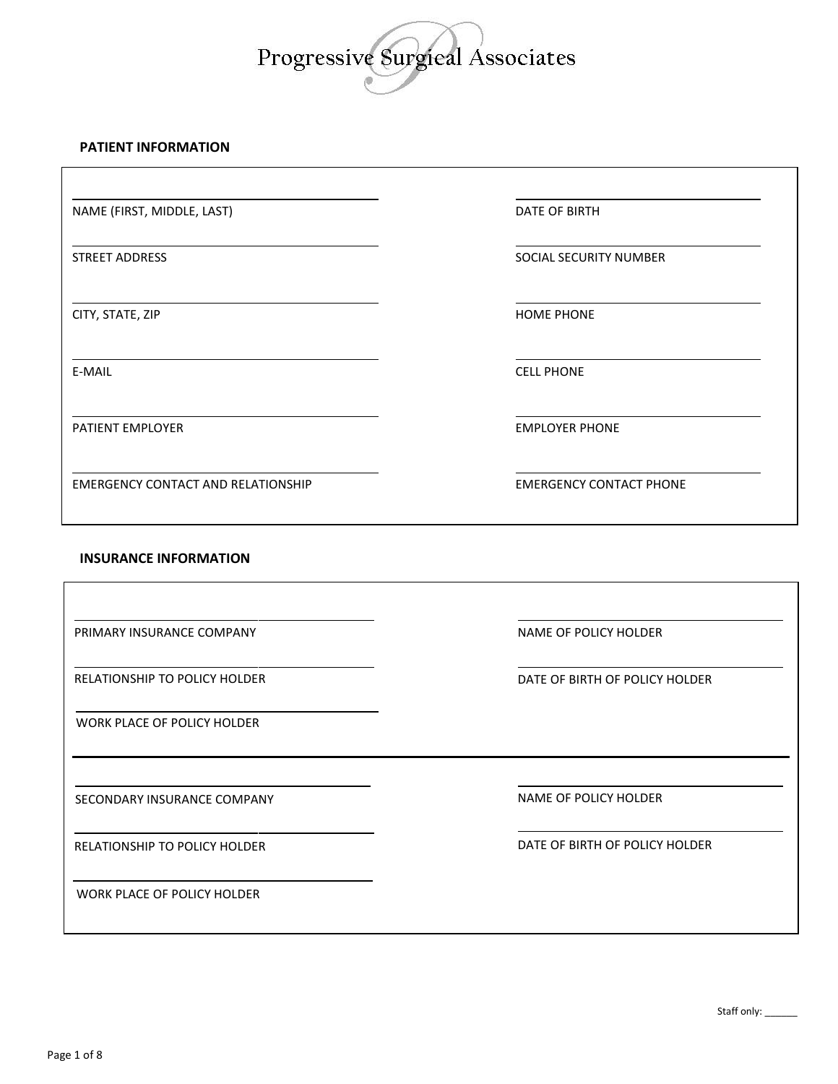# Progressive Surgieal Associates

## **PATIENT INFORMATION**

NAME (FIRST, MIDDLE, LAST) DATE OF BIRTH

PATIENT EMPLOYER **EMPLOYER EMPLOYER EMPLOYER EMPLOYER PHONE** 

EMERGENCY CONTACT AND RELATIONSHIP EMERGENCY CONTACT PHONE

STREET ADDRESS SOCIAL SECURITY NUMBER

CITY, STATE, ZIP HOME PHONE

E-MAIL CELL PHONE

## **INSURANCE INFORMATION**

RELATIONSHIP TO POLICY HOLDER **EXECUTE OF BIRTH OF POLICY HOLDER DATE OF BIRTH OF POLICY HOLDER** SECONDARY INSURANCE COMPANY NAME OF POLICY HOLDER RELATIONSHIP TO POLICY HOLDER DATE OF BIRTH OF POLICY HOLDER PRIMARY INSURANCE COMPANY **NAME OF POLICY HOLDER** WORK PLACE OF POLICY HOLDER WORK PLACE OF POLICY HOLDER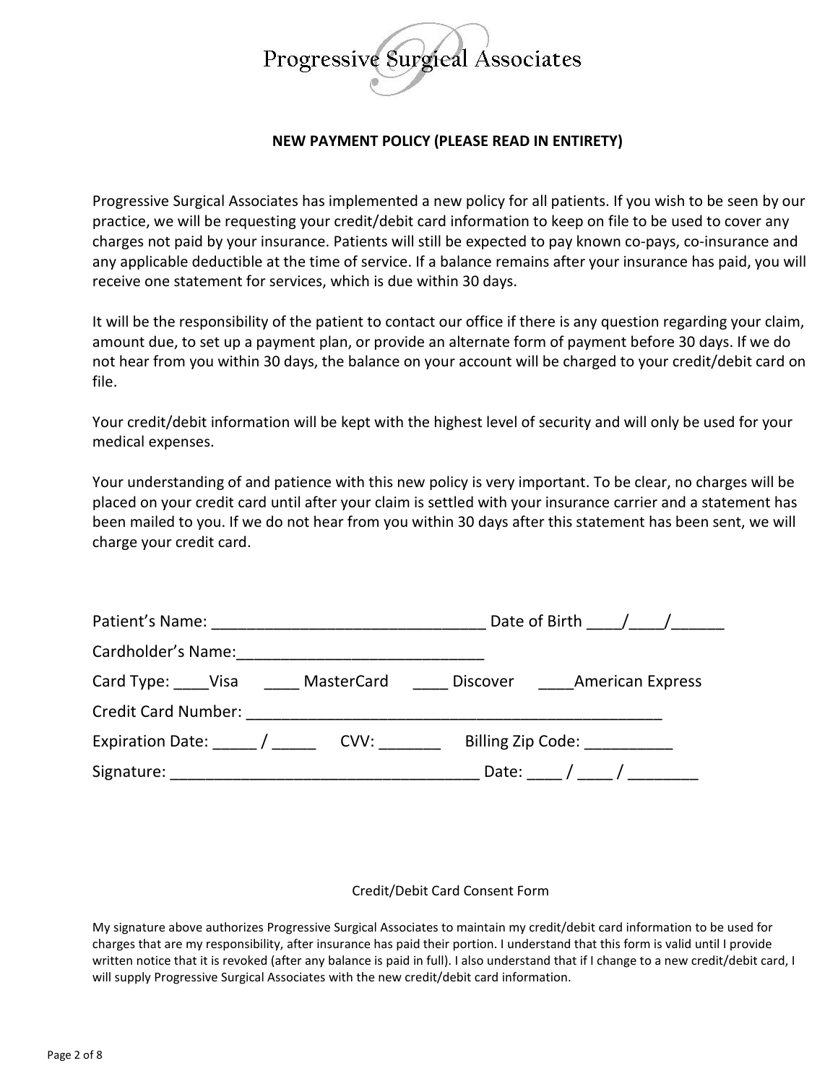

## **NEW PAYMENT POLICY (PLEASE READ IN ENTIRETY)**

Progressive Surgical Associates has implemented a new policy for all patients. If you wish to be seen by our practice, we will be requesting your credit/debit card information to keep on file to be used to cover any charges not paid by your insurance. Patients will still be expected to pay known co-pays, co-insurance and any applicable deductible at the time of service. If a balance remains after your insurance has paid, you will receive one statement for services, which is due within 30 days.

It will be the responsibility of the patient to contact our office if there is any question regarding your claim, amount due, to set up a payment plan, or provide an alternate form of payment before 30 days. If we do not hear from you within 30 days, the balance on your account will be charged to your credit/debit card on file.

Your credit/debit information will be kept with the highest level of security and will only be used for your medical expenses.

Your understanding of and patience with this new policy is very important. To be clear, no charges will be placed on your credit card until after your claim is settled with your insurance carrier and a statement has been mailed to you. If we do not hear from you within 30 days after this statement has been sent, we will charge your credit card.

|                                                      | Date of Birth $\frac{1}{\frac{1}{2}}$ |                              |  |
|------------------------------------------------------|---------------------------------------|------------------------------|--|
|                                                      |                                       |                              |  |
| Card Type: Visa MasterCard Discover American Express |                                       |                              |  |
|                                                      |                                       |                              |  |
|                                                      |                                       | Billing Zip Code:            |  |
|                                                      |                                       | Date: ____ / ____ / ________ |  |

## Credit/Debit Card Consent Form

My signature above authorizes Progressive Surgical Associates to maintain my credit/debit card information to be used for charges that are my responsibility, after insurance has paid their portion. I understand that this form is valid until I provide written notice that it is revoked (after any balance is paid in full). I also understand that if I change to a new credit/debit card, I will supply Progressive Surgical Associates with the new credit/debit card information.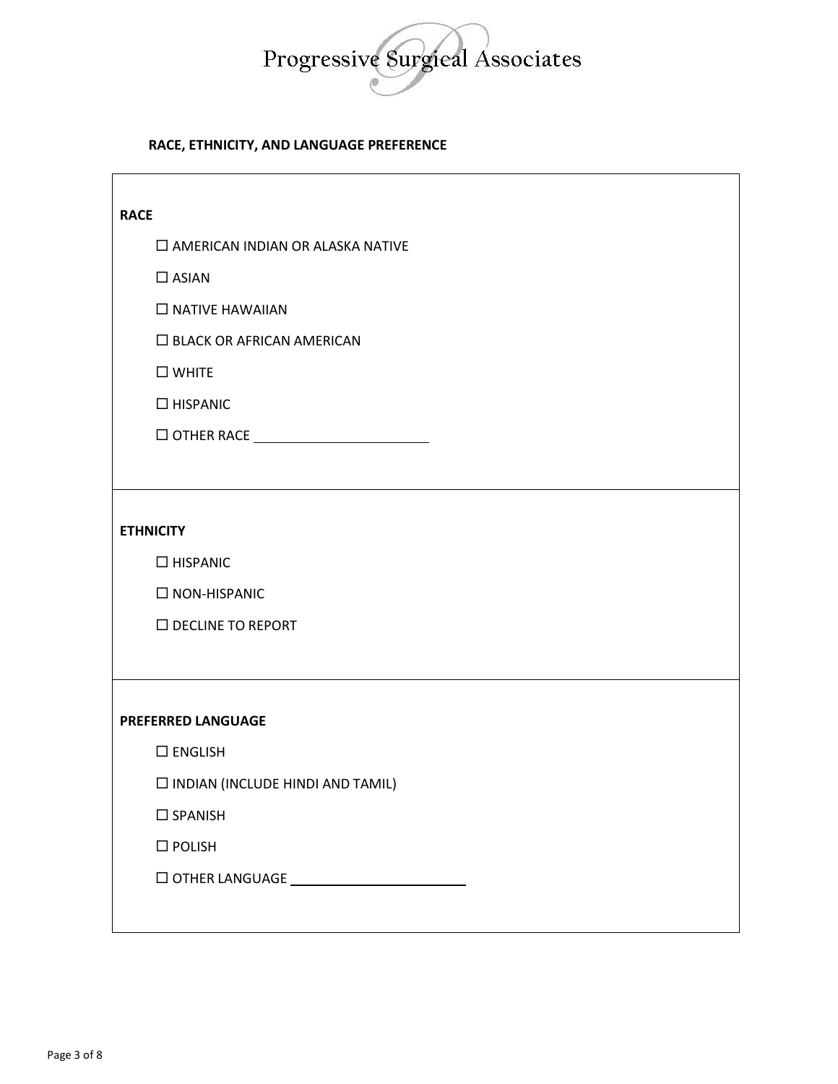

## **RACE, ETHNICITY, AND LANGUAGE PREFERENCE**

| <b>RACE</b>                             |
|-----------------------------------------|
| $\Box$ AMERICAN INDIAN OR ALASKA NATIVE |
| $\square$ ASIAN                         |
| $\Box$ NATIVE HAWAIIAN                  |
| $\Box$ BLACK OR AFRICAN AMERICAN        |
| $\square$ WHITE                         |
| $\Box$ HISPANIC                         |
|                                         |
|                                         |
|                                         |
| <b>ETHNICITY</b>                        |
| $\Box$ HISPANIC                         |
| $\square$ NON-HISPANIC                  |
| $\square$ DECLINE TO REPORT             |
|                                         |
|                                         |
| <b>PREFERRED LANGUAGE</b>               |
| $\square$ ENGLISH                       |
| $\Box$ INDIAN (INCLUDE HINDI AND TAMIL) |
| $\square$ SPANISH                       |
| $\square$ POLISH                        |
| $\Box$ OTHER LANGUAGE $\_\_$            |
|                                         |
|                                         |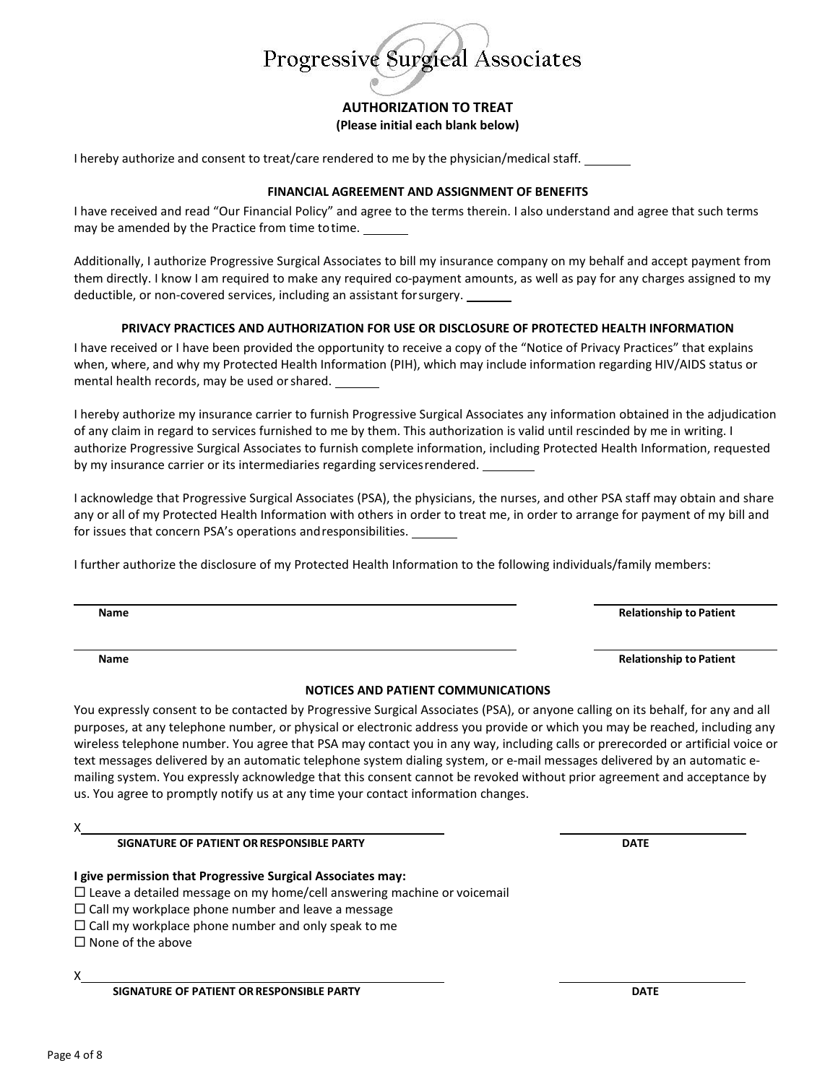

## **AUTHORIZATION TO TREAT (Please initial each blank below)**

I hereby authorize and consent to treat/care rendered to me by the physician/medical staff.

### **FINANCIAL AGREEMENT AND ASSIGNMENT OF BENEFITS**

I have received and read "Our Financial Policy" and agree to the terms therein. I also understand and agree that such terms may be amended by the Practice from time totime.

Additionally, I authorize Progressive Surgical Associates to bill my insurance company on my behalf and accept payment from them directly. I know I am required to make any required co-payment amounts, as well as pay for any charges assigned to my deductible, or non-covered services, including an assistant forsurgery.

## **PRIVACY PRACTICES AND AUTHORIZATION FOR USE OR DISCLOSURE OF PROTECTED HEALTH INFORMATION**

I have received or I have been provided the opportunity to receive a copy of the "Notice of Privacy Practices" that explains when, where, and why my Protected Health Information (PIH), which may include information regarding HIV/AIDS status or mental health records, may be used orshared.

I hereby authorize my insurance carrier to furnish Progressive Surgical Associates any information obtained in the adjudication of any claim in regard to services furnished to me by them. This authorization is valid until rescinded by me in writing. I authorize Progressive Surgical Associates to furnish complete information, including Protected Health Information, requested by my insurance carrier or its intermediaries regarding servicesrendered.

I acknowledge that Progressive Surgical Associates (PSA), the physicians, the nurses, and other PSA staff may obtain and share any or all of my Protected Health Information with others in order to treat me, in order to arrange for payment of my bill and for issues that concern PSA's operations andresponsibilities.

I further authorize the disclosure of my Protected Health Information to the following individuals/family members:

**Name Relationship to Patient**

**Name Relationship to Patient**

## **NOTICES AND PATIENT COMMUNICATIONS**

You expressly consent to be contacted by Progressive Surgical Associates (PSA), or anyone calling on its behalf, for any and all purposes, at any telephone number, or physical or electronic address you provide or which you may be reached, including any wireless telephone number. You agree that PSA may contact you in any way, including calls or prerecorded or artificial voice or text messages delivered by an automatic telephone system dialing system, or e-mail messages delivered by an automatic emailing system. You expressly acknowledge that this consent cannot be revoked without prior agreement and acceptance by us. You agree to promptly notify us at any time your contact information changes.

X

**SIGNATURE OF PATIENT ORRESPONSIBLE PARTY DATE**

**I give permission that Progressive Surgical Associates may:**

 $\Box$  Leave a detailed message on my home/cell answering machine or voicemail

 $\Box$  Call my workplace phone number and leave a message

 $\Box$  Call my workplace phone number and only speak to me

 $\square$  None of the above

X

**SIGNATURE OF PATIENT OR RESPONSIBLE PARTY DATE**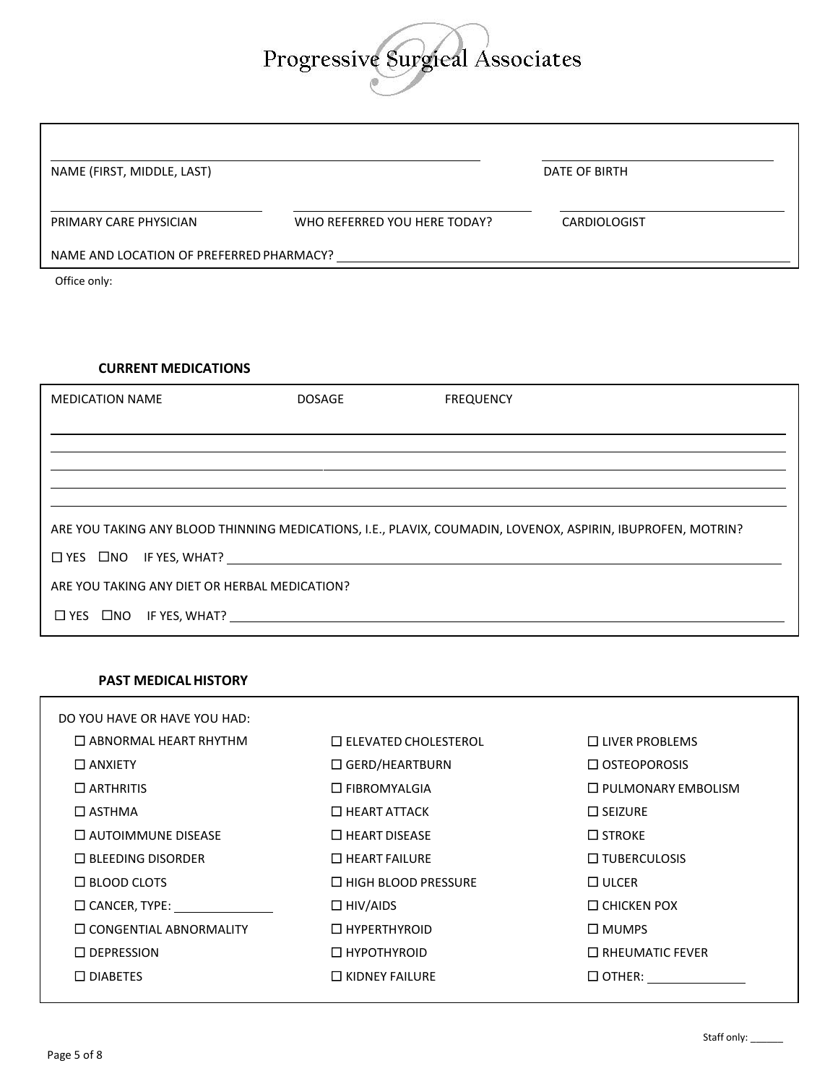## Progressive Surgieal Associates

| NAME (FIRST, MIDDLE, LAST)                                                                                  |                              |                  | <b>DATE OF BIRTH</b> |  |  |
|-------------------------------------------------------------------------------------------------------------|------------------------------|------------------|----------------------|--|--|
| PRIMARY CARE PHYSICIAN                                                                                      | WHO REFERRED YOU HERE TODAY? |                  | CARDIOLOGIST         |  |  |
|                                                                                                             |                              |                  |                      |  |  |
| Office only:                                                                                                |                              |                  |                      |  |  |
|                                                                                                             |                              |                  |                      |  |  |
|                                                                                                             |                              |                  |                      |  |  |
| <b>CURRENT MEDICATIONS</b>                                                                                  |                              |                  |                      |  |  |
| <b>MEDICATION NAME</b>                                                                                      | <b>DOSAGE</b>                | <b>FREQUENCY</b> |                      |  |  |
|                                                                                                             |                              |                  |                      |  |  |
|                                                                                                             |                              |                  |                      |  |  |
|                                                                                                             |                              |                  |                      |  |  |
| ARE YOU TAKING ANY BLOOD THINNING MEDICATIONS, I.E., PLAVIX, COUMADIN, LOVENOX, ASPIRIN, IBUPROFEN, MOTRIN? |                              |                  |                      |  |  |
| $\Box$ YES $\Box$ NO IF YES, WHAT? $\Box$                                                                   |                              |                  |                      |  |  |
| ARE YOU TAKING ANY DIET OR HERBAL MEDICATION?                                                               |                              |                  |                      |  |  |
| $\Box$ YES $\Box$ NO IF YES, WHAT?                                                                          |                              |                  |                      |  |  |

## **PAST MEDICALHISTORY**

| DO YOU HAVE OR HAVE YOU HAD:                                           |                             |                           |
|------------------------------------------------------------------------|-----------------------------|---------------------------|
| $\Box$ ABNORMAL HEART RHYTHM                                           | $\Box$ ELEVATED CHOLESTEROL | $\Box$ LIVER PROBLEMS     |
| $\Box$ ANXIETY                                                         | $\Box$ GERD/HEARTBURN       | $\Box$ OSTEOPOROSIS       |
| $\Box$ ARTHRITIS                                                       | $\Box$ FIBROMYALGIA         | $\Box$ PULMONARY EMBOLISM |
| $\Box$ ASTHMA                                                          | $\Box$ HEART ATTACK         | $\Box$ SEIZURE            |
| $\Box$ autoimmune disease                                              | $\Box$ HEART DISEASE        | $\Box$ STROKE             |
| $\Box$ BLEEDING DISORDER                                               | $\Box$ HEART FAILURE        | $\Box$ TUBERCULOSIS       |
| $\Box$ BLOOD CLOTS                                                     | $\Box$ HIGH BLOOD PRESSURE  | $\Box$ ULCER              |
| $\square$ CANCER, TYPE: $\_\_\_\_\_\_\_\_\_\_\_\_\_\_\_\_\_\_\_\_\_\_$ | $\Box$ HIV/AIDS             | $\Box$ CHICKEN POX        |
| $\Box$ CONGENTIAL ABNORMALITY                                          | $\Box$ HYPERTHYROID         | $\Box$ MUMPS              |
| $\Box$ DEPRESSION                                                      | $\Box$ HYPOTHYROID          | $\Box$ RHEUMATIC FEVER    |
| $\Box$ DIABETES                                                        | $\Box$ KIDNEY FAILURE       | $\Box$ OTHER: __________  |
|                                                                        |                             |                           |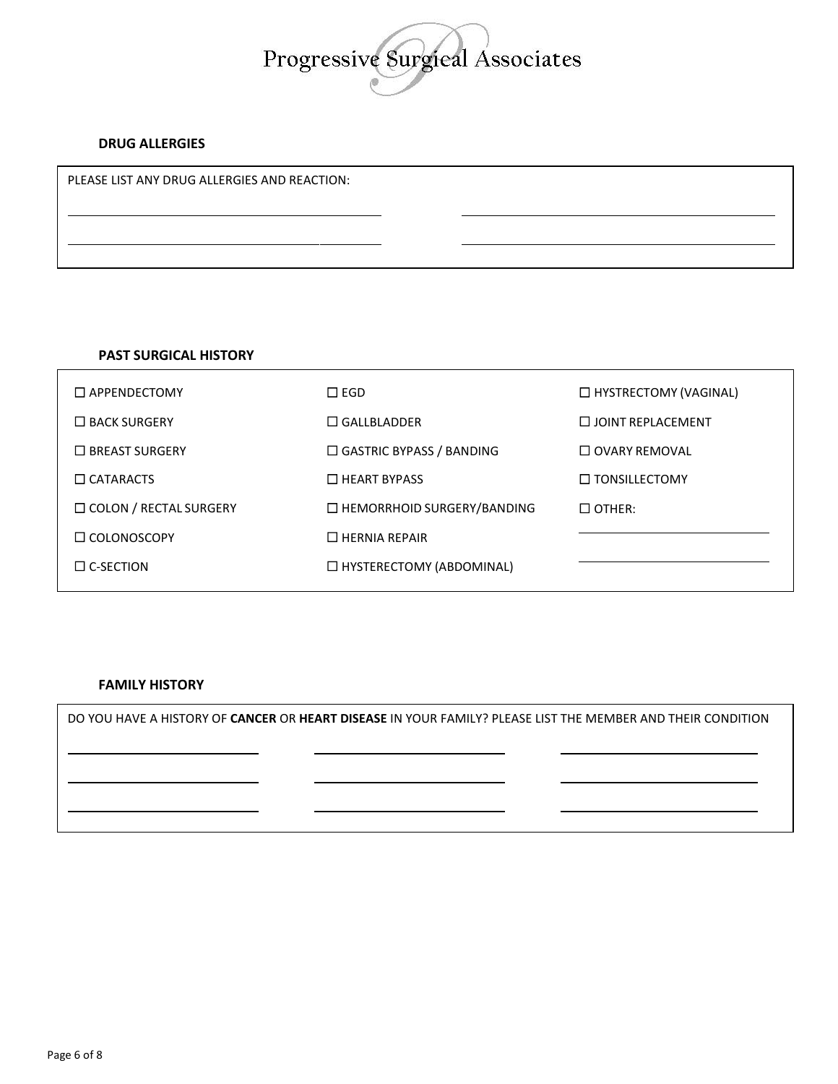

## **DRUG ALLERGIES**

PLEASE LIST ANY DRUG ALLERGIES AND REACTION:

## **PAST SURGICAL HISTORY**

| $\Box$ APPENDECTOMY           | $\square$ egd                     | □ HYSTRECTOMY (VAGINAL)  |
|-------------------------------|-----------------------------------|--------------------------|
| $\Box$ BACK SURGERY           | $\Box$ GALLBLADDER                | $\Box$ JOINT REPLACEMENT |
| $\Box$ BREAST SURGERY         | $\Box$ GASTRIC BYPASS / BANDING   | $\Box$ OVARY REMOVAL     |
| $\Box$ CATARACTS              | $\Box$ HEART BYPASS               | $\Box$ TONSILLECTOMY     |
| $\Box$ COLON / RECTAL SURGERY | $\Box$ HEMORRHOID SURGERY/BANDING | $\Box$ OTHER:            |
| $\Box$ COLONOSCOPY            | $\Box$ HERNIA REPAIR              |                          |
| $\Box$ C-SECTION              | □ HYSTERECTOMY (ABDOMINAL)        |                          |
|                               |                                   |                          |

## **FAMILY HISTORY**

DO YOU HAVE A HISTORY OF **CANCER** OR **HEART DISEASE** IN YOUR FAMILY? PLEASE LIST THE MEMBER AND THEIR CONDITION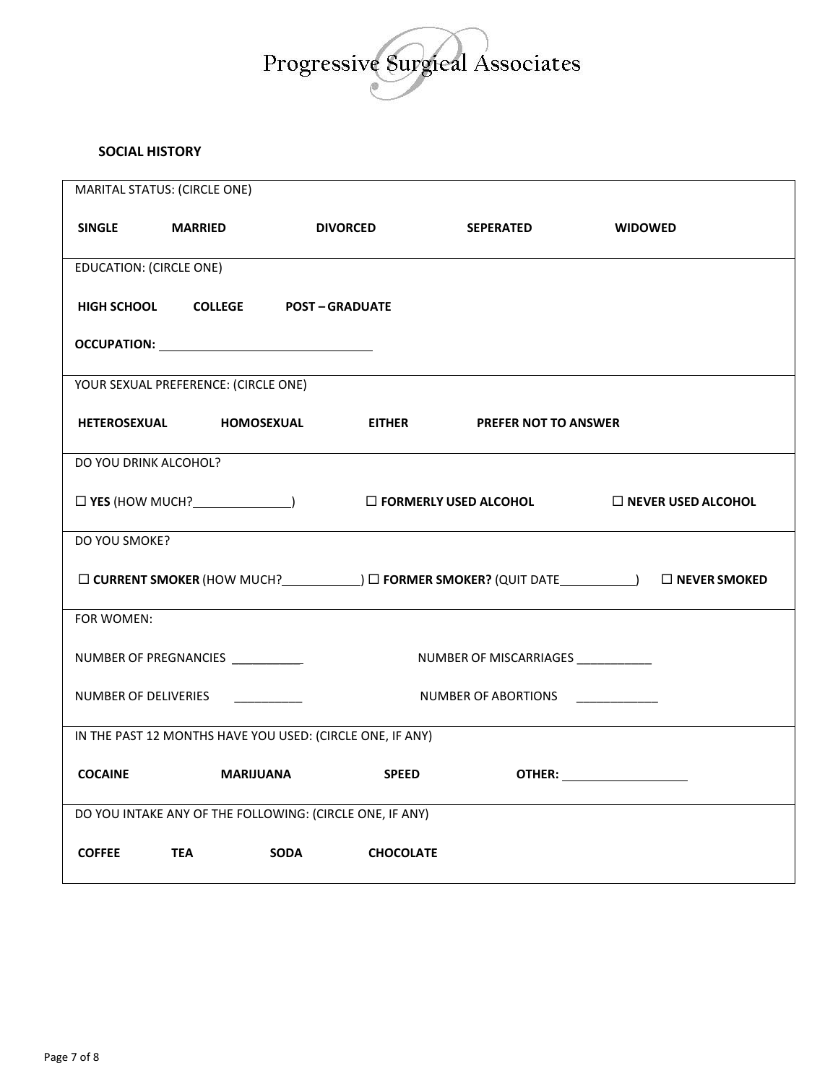

## **SOCIAL HISTORY**

|                                                           | MARITAL STATUS: (CIRCLE ONE)         |                                                                      |                                     |                                    |  |
|-----------------------------------------------------------|--------------------------------------|----------------------------------------------------------------------|-------------------------------------|------------------------------------|--|
| <b>SINGLE</b>                                             | <b>MARRIED</b>                       | <b>DIVORCED</b>                                                      | <b>SEPERATED</b>                    | <b>WIDOWED</b>                     |  |
| <b>EDUCATION: (CIRCLE ONE)</b>                            |                                      |                                                                      |                                     |                                    |  |
|                                                           |                                      | HIGH SCHOOL COLLEGE POST - GRADUATE                                  |                                     |                                    |  |
|                                                           |                                      | <b>OCCUPATION:</b> __________________________________                |                                     |                                    |  |
|                                                           | YOUR SEXUAL PREFERENCE: (CIRCLE ONE) |                                                                      |                                     |                                    |  |
|                                                           | HETEROSEXUAL HOMOSEXUAL              | <b>EITHER</b>                                                        | <b>PREFER NOT TO ANSWER</b>         |                                    |  |
| DO YOU DRINK ALCOHOL?                                     |                                      |                                                                      |                                     |                                    |  |
|                                                           |                                      | $\square$ YES (HOW MUCH? $\square$ ) $\square$ FORMERLY USED ALCOHOL |                                     | $\Box$ NEVER USED ALCOHOL          |  |
| DO YOU SMOKE?                                             |                                      |                                                                      |                                     |                                    |  |
|                                                           |                                      |                                                                      |                                     |                                    |  |
| FOR WOMEN:                                                |                                      |                                                                      |                                     |                                    |  |
|                                                           | NUMBER OF PREGNANCIES __________     |                                                                      | NUMBER OF MISCARRIAGES ____________ |                                    |  |
| NUMBER OF DELIVERIES                                      |                                      |                                                                      | NUMBER OF ABORTIONS ___________     |                                    |  |
| IN THE PAST 12 MONTHS HAVE YOU USED: (CIRCLE ONE, IF ANY) |                                      |                                                                      |                                     |                                    |  |
| <b>COCAINE</b>                                            | <b>MARIJUANA</b>                     | <b>SPEED</b>                                                         |                                     | <b>OTHER:</b> ____________________ |  |
| DO YOU INTAKE ANY OF THE FOLLOWING: (CIRCLE ONE, IF ANY)  |                                      |                                                                      |                                     |                                    |  |
| <b>COFFEE</b>                                             | <b>TEA</b>                           | <b>SODA</b><br><b>CHOCOLATE</b>                                      |                                     |                                    |  |